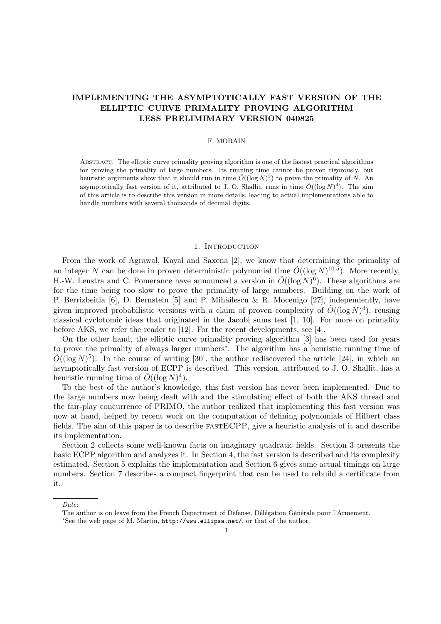# IMPLEMENTING THE ASYMPTOTICALLY FAST VERSION OF THE ELLIPTIC CURVE PRIMALITY PROVING ALGORITHM LESS PRELIMIMARY VERSION 040825

### F. MORAIN

Abstract. The elliptic curve primality proving algorithm is one of the fastest practical algorithms for proving the primality of large numbers. Its running time cannot be proven rigorously, but heuristic arguments show that it should run in time  $\tilde{O}((\log N)^5)$  to prove the primality of N. An asymptotically fast version of it, attributed to J. O. Shallit, runs in time  $\tilde{O}((\log N)^4)$ . The aim of this article is to describe this version in more details, leading to actual implementations able to handle numbers with several thousands of decimal digits.

### 1. INTRODUCTION

From the work of Agrawal, Kayal and Saxena [2], we know that determining the primality of an integer N can be done in proven deterministic polynomial time  $\tilde{O}((\log N)^{10.5})$ . More recently, H.-W. Lenstra and C. Pomerance have announced a version in  $\tilde{O}((\log N)^6)$ . These algorithms are for the time being too slow to prove the primality of large numbers. Building on the work of P. Berrizbeitia [6], D. Bernstein [5] and P. Mihăilescu & R. Mocenigo [27], independently, have given improved probabilistic versions with a claim of proven complexity of  $\tilde{O}((\log N)^4)$ , reusing classical cyclotomic ideas that originated in the Jacobi sums test [1, 10]. For more on primality before AKS, we refer the reader to [12]. For the recent developments, see [4].

On the other hand, the elliptic curve primality proving algorithm [3] has been used for years to prove the primality of always larger numbers<sup>∗</sup> . The algorithm has a heuristic running time of  $\tilde{O}((\log N)^5)$ . In the course of writing [30], the author rediscovered the article [24], in which an asymptotically fast version of ECPP is described. This version, attributed to J. O. Shallit, has a heuristic running time of  $\tilde{O}((\log N)^4)$ .

To the best of the author's knowledge, this fast version has never been implemented. Due to the large numbers now being dealt with and the stimulating effect of both the AKS thread and the fair-play concurrence of PRIMO, the author realized that implementing this fast version was now at hand, helped by recent work on the computation of defining polynomials of Hilbert class fields. The aim of this paper is to describe fastECPP, give a heuristic analysis of it and describe its implementation.

Section 2 collects some well-known facts on imaginary quadratic fields. Section 3 presents the basic ECPP algorithm and analyzes it. In Section 4, the fast version is described and its complexity estimated. Section 5 explains the implementation and Section 6 gives some actual timings on large numbers. Section 7 describes a compact fingerprint that can be used to rebuild a certificate from it.

Date:

The author is on leave from the French Department of Defense, Délégation Générale pour l'Armement.

<sup>∗</sup>See the web page of M. Martin, http://www.ellipsa.net/, or that of the author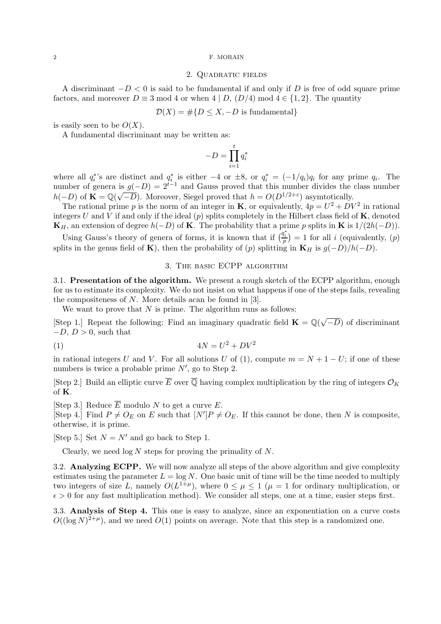#### 2 F. MORAIN

## 2. Quadratic fields

A discriminant  $-D < 0$  is said to be fundamental if and only if D is free of odd square prime factors, and moreover  $D \equiv 3 \mod 4$  or when  $4 | D$ ,  $(D/4) \mod 4 \in \{1, 2\}$ . The quantity

 $\mathcal{D}(X) = \#\{D \leq X, -D \text{ is fundamental}\}\$ 

is easily seen to be  $O(X)$ .

A fundamental discriminant may be written as:

$$
-D=\prod_{i=1}^t q_i^*
$$

where all  $q_i^*$ 's are distinct and  $q_i^*$  is either  $-4$  or  $\pm 8$ , or  $q_i^* = (-1/q_i)q_i$  for any prime  $q_i$ . The number of genera is  $g(-D) = 2^{t-1}$  and Gauss proved that this number divides the class number  $h(-D)$  of  $\mathbf{K} = \mathbb{Q}(\sqrt{-D})$ . Moreover, Siegel proved that  $h = O(D^{1/2+\epsilon})$  asymtotically.

The rational prime p is the norm of an integer in **K**, or equivalently,  $4p = U^2 + DV^2$  in rational integers U and V if and only if the ideal  $(p)$  splits completely in the Hilbert class field of  $\bf{K}$ , denoted  $\mathbf{K}_H$ , an extension of degree  $h(-D)$  of **K**. The probability that a prime p splits in **K** is  $1/(2h(-D))$ .

Using Gauss's theory of genera of forms, it is known that if  $\left(\frac{q_i^*}{p}\right) = 1$  for all i (equivalently,  $(p)$ ) splits in the genus field of K), then the probability of  $(p)$  splitting in K<sub>H</sub> is  $g(-D)/h(-D)$ .

## 3. The basic ECPP algorithm

3.1. Presentation of the algorithm. We present a rough sketch of the ECPP algorithm, enough for us to estimate its complexity. We do not insist on what happens if one of the steps fails, revealing the compositeness of N. More details acan be found in [3].

We want to prove that  $N$  is prime. The algorithm runs as follows:

[Step 1.] Repeat the following: Find an imaginary quadratic field  $\mathbf{K} = \mathbb{Q}(\sqrt{\mathbb{Z}})$  $(-D)$  of discriminant  $-D, D > 0$ , such that

$$
(1) \t\t 4N = U^2 + DV^2
$$

in rational integers U and V. For all solutions U of (1), compute  $m = N + 1 - U$ ; if one of these numbers is twice a probable prime  $N'$ , go to Step 2.

[Step 2.] Build an elliptic curve  $\overline{E}$  over  $\overline{Q}$  having complex multiplication by the ring of integers  $\mathcal{O}_K$ of K.

[Step 3.] Reduce  $\overline{E}$  modulo N to get a curve E.

[Step 4.] Find  $P \neq O_E$  on E such that  $[N']P \neq O_E$ . If this cannot be done, then N is composite, otherwise, it is prime.

[Step 5.] Set  $N = N'$  and go back to Step 1.

Clearly, we need  $\log N$  steps for proving the primality of N.

3.2. Analyzing ECPP. We will now analyze all steps of the above algorithm and give complexity estimates using the parameter  $L = \log N$ . One basic unit of time will be the time needed to multiply two integers of size L, namely  $O(L^{1+\mu})$ , where  $0 \leq \mu \leq 1$  ( $\mu = 1$  for ordinary multiplication, or  $\epsilon > 0$  for any fast multiplication method). We consider all steps, one at a time, easier steps first.

3.3. Analysis of Step 4. This one is easy to analyze, since an exponentiation on a curve costs  $O((\log N)^{2+\mu})$ , and we need  $O(1)$  points on average. Note that this step is a randomized one.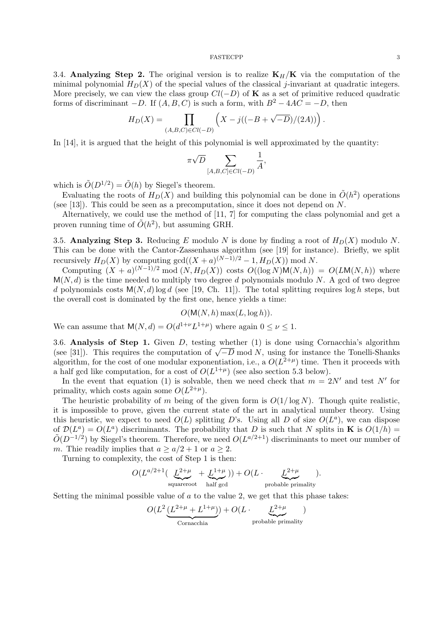3.4. Analyzing Step 2. The original version is to realize  $K_H/K$  via the computation of the minimal polynomial  $H_D(X)$  of the special values of the classical j-invariant at quadratic integers. More precisely, we can view the class group  $Cl(-D)$  of **K** as a set of primitive reduced quadratic forms of discriminant  $-D$ . If  $(A, B, C)$  is such a form, with  $B^2 - 4AC = -D$ , then

$$
H_D(X) = \prod_{(A,B,C)\in Cl(-D)} \left( X - j((-B + \sqrt{-D})/(2A)) \right).
$$

In [14], it is argued that the height of this polynomial is well approximated by the quantity:

$$
\pi\sqrt{D}\sum_{[A,B,C]\in Cl(-D)}\frac{1}{A},
$$

which is  $\tilde{O}(D^{1/2}) = \tilde{O}(h)$  by Siegel's theorem.

Evaluating the roots of  $H_D(X)$  and building this polynomial can be done in  $\tilde{O}(h^2)$  operations (see [13]). This could be seen as a precomputation, since it does not depend on N.

Alternatively, we could use the method of [11, 7] for computing the class polynomial and get a proven running time of  $\tilde{O}(h^2)$ , but assuming GRH.

3.5. Analyzing Step 3. Reducing E modulo N is done by finding a root of  $H_D(X)$  modulo N. This can be done with the Cantor-Zassenhaus algorithm (see [19] for instance). Briefly, we split recursively  $H_D(X)$  by computing  $gcd((X + a)^{(N-1)/2} - 1, H_D(X))$  mod N.

Computing  $(X + a)^{(N-1)/2} \text{ mod } (N, H_D(X))$  costs  $O((\log N)M(N, h)) = O(LM(N, h))$  where  $M(N, d)$  is the time needed to multiply two degree d polynomials modulo N. A gcd of two degree d polynomials costs  $M(N, d)$  log d (see [19, Ch. 11]). The total splitting requires log h steps, but the overall cost is dominated by the first one, hence yields a time:

$$
O(M(N, h) \max(L, \log h)).
$$

We can assume that  $M(N, d) = O(d^{1+\nu}L^{1+\mu})$  where again  $0 \leq \nu \leq 1$ .

3.6. Analysis of Step 1. Given D, testing whether (1) is done using Cornacchia's algorithm 3.0. **Analysis of Step 1.** Given D, testing whether (1) is done using Cornacchia's algorithm (see [31]). This requires the computation of  $\sqrt{-D}$  mod N, using for instance the Tonelli-Shanks algorithm, for the cost of one modular exponentiation, i.e., a  $O(L^{2+\mu})$  time. Then it proceeds with a half gcd like computation, for a cost of  $O(L^{1+\mu})$  (see also section 5.3 below).

In the event that equation (1) is solvable, then we need check that  $m = 2N'$  and test N' for primality, which costs again some  $O(L^{2+\mu})$ .

The heuristic probability of m being of the given form is  $O(1/\log N)$ . Though quite realistic, it is impossible to prove, given the current state of the art in analytical number theory. Using this heuristic, we expect to need  $O(L)$  splitting D's. Using all D of size  $O(L^a)$ , we can dispose of  $\mathcal{D}(L^a) = O(L^a)$  discriminants. The probability that D is such that N splits in **K** is  $O(1/h)$  $\tilde{O}(D^{-1/2})$  by Siegel's theorem. Therefore, we need  $O(L^{a/2+1})$  discriminants to meet our number of m. This readily implies that  $a \ge a/2 + 1$  or  $a \ge 2$ .

Turning to complexity, the cost of Step 1 is then:

$$
O(L^{a/2+1}(\underbrace{L^{2+\mu}}_{\text{squareroot}} + \underbrace{L^{1+\mu}}_{\text{half gcd}})) + O(L \cdot \underbrace{L^{2+\mu}}_{\text{probable primality}}).
$$

Setting the minimal possible value of  $a$  to the value 2, we get that this phase takes:

$$
O(L^2 \underbrace{(L^{2+\mu} + L^{1+\mu})}) + O(L \cdot \underbrace{L^{2+\mu}}_{\text{probable primality}})
$$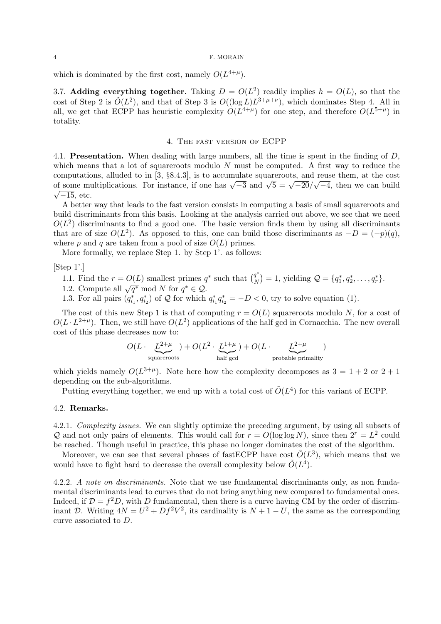#### 4 F. MORAIN

which is dominated by the first cost, namely  $O(L^{4+\mu})$ .

3.7. Adding everything together. Taking  $D = O(L^2)$  readily implies  $h = O(L)$ , so that the cost of Step 2 is  $\tilde{O}(L^2)$ , and that of Step 3 is  $O((\log L)L^{3+\mu+\nu})$ , which dominates Step 4. All in all, we get that ECPP has heuristic complexity  $O(L^{4+\mu})$  for one step, and therefore  $O(L^{5+\mu})$  in totality.

## 4. The fast version of ECPP

4.1. **Presentation.** When dealing with large numbers, all the time is spent in the finding of D, which means that a lot of squareroots modulo  $N$  must be computed. A first way to reduce the computations, alluded to in [3, §8.4.3], is to accumulate squareroots, and reuse them, at the cost computations, and ded to in [5, 30.4.5], is to accumulate squareroots, and reuse them, at the cost of some multiplications. For instance, if one has  $\sqrt{-3}$  and  $\sqrt{5} = \sqrt{-20}/\sqrt{-4}$ , then we can build  $\sqrt{-15}$ , etc.

A better way that leads to the fast version consists in computing a basis of small squareroots and build discriminants from this basis. Looking at the analysis carried out above, we see that we need  $O(L^2)$  discriminants to find a good one. The basic version finds them by using all discriminants that are of size  $O(L^2)$ . As opposed to this, one can build those discriminants as  $-D = (-p)(q)$ , where p and q are taken from a pool of size  $O(L)$  primes.

More formally, we replace Step 1. by Step 1'. as follows:

[Step 1'.]

- 1.1. Find the  $r = O(L)$  smallest primes  $q^*$  such that  $\left(\frac{q^*}{N}\right)$  $\frac{q^*}{N}$  = 1, yielding  $Q = \{q_1^*, q_2^*, \ldots, q_r^*\}.$
- 1.1. Find the  $t = O(L)$  sinaliest primes quantity of  $\sqrt{q^*}$  mod N for  $q^* \in \mathcal{Q}$ .
- 1.3. For all pairs  $(q_{i_1}^*, q_{i_2}^*)$  of  $\mathcal Q$  for which  $q_{i_1}^* q_{i_2}^* = -D < 0$ , try to solve equation (1).

The cost of this new Step 1 is that of computing  $r = O(L)$  squareroots modulo N, for a cost of  $O(L \cdot L^{2+\mu})$ . Then, we still have  $O(L^2)$  applications of the half gcd in Cornacchia. The new overall cost of this phase decreases now to:

$$
O(L \cdot \underbrace{L^{2+\mu}}_{\text{squareroots}}) + O(L^2 \cdot \underbrace{L^{1+\mu}}_{\text{half gcd}}) + O(L \cdot \underbrace{L^{2+\mu}}_{\text{probable primality}})
$$

which yields namely  $O(L^{3+\mu})$ . Note here how the complexity decomposes as  $3 = 1 + 2$  or  $2 + 1$ depending on the sub-algorithms.

Putting everything together, we end up with a total cost of  $\tilde{O}(L^4)$  for this variant of ECPP.

## 4.2. Remarks.

4.2.1. *Complexity issues.* We can slightly optimize the preceding argument, by using all subsets of Q and not only pairs of elements. This would call for  $r = O(\log \log N)$ , since then  $2^r = L^2$  could be reached. Though useful in practice, this phase no longer dominates the cost of the algorithm.

Moreover, we can see that several phases of fast ECPP have cost  $\tilde{O}(L^3)$ , which means that we would have to fight hard to decrease the overall complexity below  $\tilde{O}(L^4)$ .

4.2.2. A note on discriminants. Note that we use fundamental discriminants only, as non fundamental discriminants lead to curves that do not bring anything new compared to fundamental ones. Indeed, if  $\mathcal{D} = f^2 D$ , with D fundamental, then there is a curve having CM by the order of discriminant D. Writing  $4N = U^2 + Df^2V^2$ , its cardinality is  $N + 1 - U$ , the same as the corresponding curve associated to D.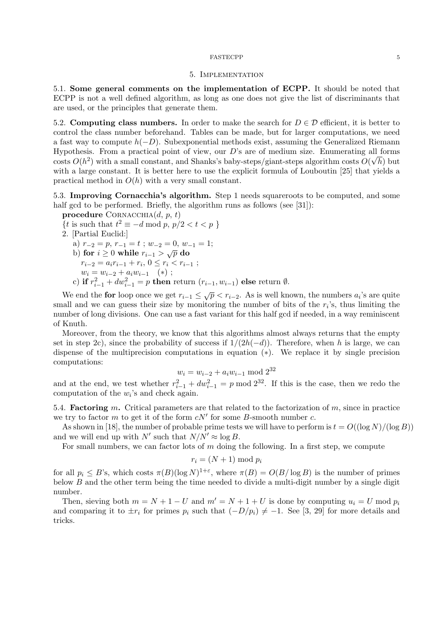## 5. Implementation

5.1. Some general comments on the implementation of ECPP. It should be noted that ECPP is not a well defined algorithm, as long as one does not give the list of discriminants that are used, or the principles that generate them.

5.2. Computing class numbers. In order to make the search for  $D \in \mathcal{D}$  efficient, it is better to control the class number beforehand. Tables can be made, but for larger computations, we need a fast way to compute  $h(-D)$ . Subexponential methods exist, assuming the Generalized Riemann Hypothesis. From a practical point of view, our D's are of medium size. Enumerating all forms costs  $O(h^2)$  with a small constant, and Shanks's baby-steps/giant-steps algorithm costs  $O(\sqrt{h})$  but with a large constant. It is better here to use the explicit formula of Louboutin [25] that yields a practical method in  $O(h)$  with a very small constant.

5.3. Improving Cornacchia's algorithm. Step 1 needs squareroots to be computed, and some half gcd to be performed. Briefly, the algorithm runs as follows (see  $[31]$ ):

- procedure CORNACCHIA $(d, p, t)$
- {*t* is such that  $t^2 \equiv -d \mod p$ ,  $p/2 < t < p$ }
- 2. [Partial Euclid:]
	- a)  $r_{-2} = p$ ,  $r_{-1} = t$ ;  $w_{-2} = 0$ ,  $w_{-1} = 1$ ;<br>b) for  $i \ge 0$  while  $r_{i-1} > \sqrt{p}$  do

b) for 
$$
i \geq 0
$$
 while  $r_{i-1} > \sqrt{p}$  do

 $r_{i-2} = a_i r_{i-1} + r_i, 0 \le r_i < r_{i-1}$ ;

$$
w_i = w_{i-2} + a_i w_{i-1} \quad (*)
$$

c) if  $r_{i-1}^2 + dw_{i-1}^2 = p$  then return  $(r_{i-1}, w_{i-1})$  else return  $\emptyset$ .

We end the **for** loop once we get  $r_{i-1} \leq \sqrt{p} < r_{i-2}$ . As is well known, the numbers  $a_i$ 's are quite small and we can guess their size by monitoring the number of bits of the  $r_i$ 's, thus limiting the number of long divisions. One can use a fast variant for this half gcd if needed, in a way reminiscent of Knuth.

Moreover, from the theory, we know that this algorithms almost always returns that the empty set in step 2c), since the probability of success if  $1/(2h(-d))$ . Therefore, when h is large, we can dispense of the multiprecision computations in equation (∗). We replace it by single precision computations:

$$
w_i = w_{i-2} + a_i w_{i-1} \bmod 2^{32}
$$

and at the end, we test whether  $r_{i-1}^2 + dw_{i-1}^2 = p \mod 2^{32}$ . If this is the case, then we redo the computation of the  $w_i$ 's and check again.

5.4. **Factoring** m. Critical parameters are that related to the factorization of  $m$ , since in practice we try to factor  $m$  to get it of the form  $cN'$  for some  $B$ -smooth number  $c$ .

As shown in [18], the number of probable prime tests we will have to perform is  $t = O((\log N)/(\log B))$ and we will end up with N' such that  $N/N' \approx \log B$ .

For small numbers, we can factor lots of  $m$  doing the following. In a first step, we compute

$$
r_i = (N+1) \bmod p_i
$$

for all  $p_i \leq B$ 's, which costs  $\pi(B)(\log N)^{1+\varepsilon}$ , where  $\pi(B) = O(B/\log B)$  is the number of primes below  $B$  and the other term being the time needed to divide a multi-digit number by a single digit number.

Then, sieving both  $m = N + 1 - U$  and  $m' = N + 1 + U$  is done by computing  $u_i = U$  mod  $p_i$ and comparing it to  $\pm r_i$  for primes  $p_i$  such that  $(-D/p_i) \neq -1$ . See [3, 29] for more details and tricks.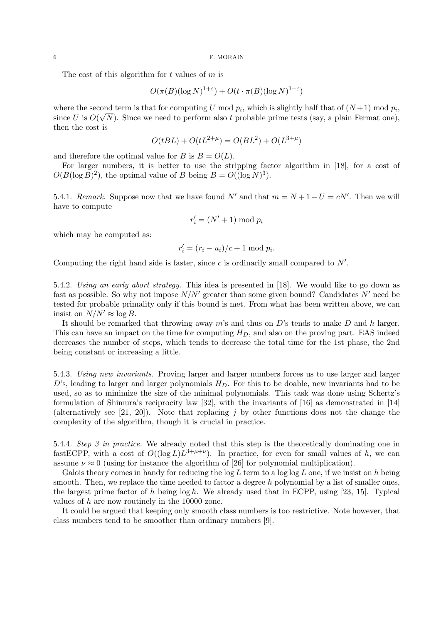The cost of this algorithm for  $t$  values of  $m$  is

$$
O(\pi(B)(\log N)^{1+\varepsilon}) + O(t \cdot \pi(B)(\log N)^{1+\varepsilon})
$$

where the second term is that for computing U mod  $p_i$ , which is slightly half that of  $(N+1)$  mod  $p_i$ , since U is  $O(\sqrt{N})$ . Since we need to perform also t probable prime tests (say, a plain Fermat one), then the cost is

$$
O(tBL) + O(tL^{2+\mu}) = O(BL^2) + O(L^{3+\mu})
$$

and therefore the optimal value for B is  $B = O(L)$ .

For larger numbers, it is better to use the stripping factor algorithm in [18], for a cost of  $O(B(\log B)^2)$ , the optimal value of B being  $B = O((\log N)^3)$ .

5.4.1. Remark. Suppose now that we have found N' and that  $m = N + 1 - U = cN'$ . Then we will have to compute

$$
r_i' = (N' + 1) \bmod p_i
$$

which may be computed as:

$$
r_i' = (r_i - u_i)/c + 1 \mod p_i.
$$

Computing the right hand side is faster, since  $c$  is ordinarily small compared to  $N'$ .

5.4.2. Using an early abort strategy. This idea is presented in [18]. We would like to go down as fast as possible. So why not impose  $N/N'$  greater than some given bound? Candidates N' need be tested for probable primality only if this bound is met. From what has been written above, we can insist on  $N/N' \approx \log B$ .

It should be remarked that throwing away  $m$ 's and thus on  $D$ 's tends to make  $D$  and  $h$  larger. This can have an impact on the time for computing  $H_D$ , and also on the proving part. EAS indeed decreases the number of steps, which tends to decrease the total time for the 1st phase, the 2nd being constant or increasing a little.

5.4.3. Using new invariants. Proving larger and larger numbers forces us to use larger and larger D's, leading to larger and larger polynomials  $H_D$ . For this to be doable, new invariants had to be used, so as to minimize the size of the minimal polynomials. This task was done using Schertz's formulation of Shimura's reciprocity law [32], with the invariants of [16] as demonstrated in [14] (alternatively see [21, 20]). Note that replacing j by other functions does not the change the complexity of the algorithm, though it is crucial in practice.

5.4.4. Step 3 in practice. We already noted that this step is the theoretically dominating one in fast ECPP, with a cost of  $O((\log L)L^{3+\mu+\nu})$ . In practice, for even for small values of h, we can assume  $\nu \approx 0$  (using for instance the algorithm of [26] for polynomial multiplication).

Galois theory comes in handy for reducing the  $\log L$  term to a  $\log \log L$  one, if we insist on h being smooth. Then, we replace the time needed to factor a degree  $h$  polynomial by a list of smaller ones, the largest prime factor of  $h$  being  $\log h$ . We already used that in ECPP, using [23, 15]. Typical values of h are now routinely in the 10000 zone.

It could be argued that keeping only smooth class numbers is too restrictive. Note however, that class numbers tend to be smoother than ordinary numbers [9].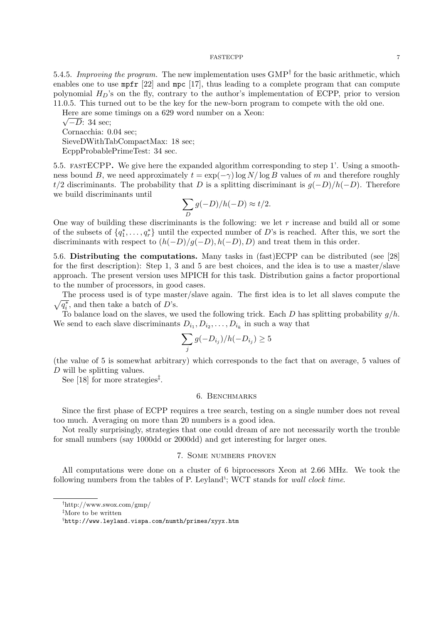5.4.5. Improving the program. The new implementation uses  $\text{GMP}^{\dagger}$  for the basic arithmetic, which enables one to use mpfr [22] and mpc [17], thus leading to a complete program that can compute polynomial  $H_D$ 's on the fly, contrary to the author's implementation of ECPP, prior to version 11.0.5. This turned out to be the key for the new-born program to compete with the old one.

Here are some timings on a 629 word number on a Xeon:

 $\sqrt{-D}$ : 34 sec; Cornacchia: 0.04 sec; SieveDWithTabCompactMax: 18 sec; EcppProbablePrimeTest: 34 sec.

5.5. fastECPP. We give here the expanded algorithm corresponding to step 1'. Using a smoothness bound B, we need approximately  $t = \exp(-\gamma) \log N / \log B$  values of m and therefore roughly t/2 discriminants. The probability that D is a splitting discriminant is  $q(-D)/h(-D)$ . Therefore we build discriminants until

$$
\sum_{D} g(-D)/h(-D) \approx t/2.
$$

One way of building these discriminants is the following: we let  $r$  increase and build all or some of the subsets of  $\{q_1^*, \ldots, q_r^*\}$  until the expected number of D's is reached. After this, we sort the discriminants with respect to  $(h(-D)/g(-D), h(-D), D)$  and treat them in this order.

5.6. Distributing the computations. Many tasks in (fast)ECPP can be distributed (see [28] for the first description): Step 1, 3 and 5 are best choices, and the idea is to use a master/slave approach. The present version uses MPICH for this task. Distribution gains a factor proportional to the number of processors, in good cases.

 $\sqrt{q_i^*}$ , and then take a batch of D's. The process used is of type master/slave again. The first idea is to let all slaves compute the

To balance load on the slaves, we used the following trick. Each D has splitting probability  $g/h$ . We send to each slave discriminants  $D_{i_1}, D_{i_2}, \ldots, D_{i_k}$  in such a way that

$$
\sum_{j} g(-D_{i_j})/h(-D_{i_j}) \ge 5
$$

(the value of 5 is somewhat arbitrary) which corresponds to the fact that on average, 5 values of D will be splitting values.

See [18] for more strategies<sup> $\ddagger$ </sup>.

## 6. Benchmarks

Since the first phase of ECPP requires a tree search, testing on a single number does not reveal too much. Averaging on more than 20 numbers is a good idea.

Not really surprisingly, strategies that one could dream of are not necessarily worth the trouble for small numbers (say 1000dd or 2000dd) and get interesting for larger ones.

## 7. Some numbers proven

All computations were done on a cluster of 6 biprocessors Xeon at 2.66 MHz. We took the following numbers from the tables of P. Leyland<sup>§</sup>; WCT stands for wall clock time.

‡More to be written

<sup>†</sup>http://www.swox.com/gmp/

 $^{\S}\texttt{http://www.leyland.vispa.com/numth/primes/xyyx.htm}$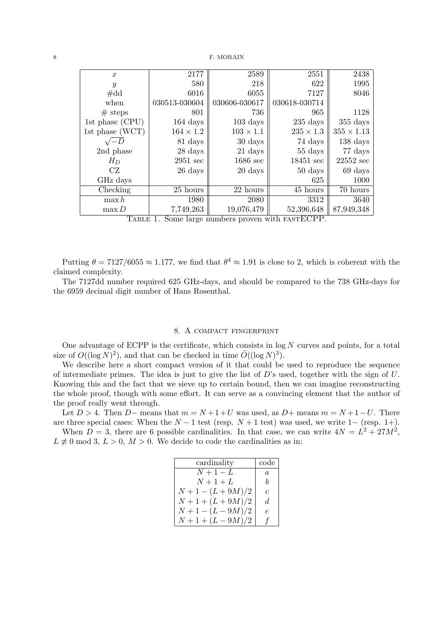|  | $\boldsymbol{x}$ | 2177               | 2589               | 2551               | 2438                |
|--|------------------|--------------------|--------------------|--------------------|---------------------|
|  | $\boldsymbol{y}$ | 580                | 218                | 622                | 1995                |
|  | $\#\mathrm{dd}$  | 6016               | 6055               | 7127               | 8046                |
|  | when             | 030513-030604      | 030606-030617      | 030618-030714      |                     |
|  | $#$ steps        | 801                | 736                | 965                | 1128                |
|  | 1st phase (CPU)  | $164 \text{ days}$ | $103 \text{ days}$ | $235 \text{ days}$ | $355$ days          |
|  | 1st phase (WCT)  | $164 \times 1.2$   | $103 \times 1.1$   | $235 \times 1.3$   | $355 \times 1.13$   |
|  | $\sqrt{-D}$      | 81 days            | 30 days            | 74 days            | $138 \;{\rm days}$  |
|  | 2nd phase        | 28 days            | 21 days            | 55 days            | 77 days             |
|  | $H_D$            | $2951 \text{ sec}$ | $1686 \text{ sec}$ | 18451 sec          | $22552 \text{ sec}$ |
|  | CZ               | 26 days            | 20 days            | 50 days            | 69 days             |
|  | GHz days         |                    |                    | 625                | 1000                |
|  | Checking         | 25 hours           | 22 hours           | 45 hours           | 70 hours            |
|  | $\max h$         | 1980               | 2080               | 3312               | 3640                |
|  | $\max D$         | 7,749,263          | 19,076,479         | 52,396,648         | 87,949,348          |
|  | m. _ _ _ 1       | $\sim$             | $\mathbf{L}$       | $\cdot$ . 1        |                     |

TABLE 1. Some large numbers proven with FASTECPP.

Putting  $\theta = 7127/6055 \approx 1.177$ , we find that  $\theta^4 \approx 1.91$  is close to 2, which is coherent with the claimed complexity.

The 7127dd number required 625 GHz-days, and should be compared to the 738 GHz-days for the 6959 decimal digit number of Hans Rosenthal.

### 8. A compact fingerprint

One advantage of ECPP is the certificate, which consists in  $log N$  curves and points, for a total size of  $O((\log N)^2)$ , and that can be checked in time  $\tilde{O}((\log N)^3)$ .

We describe here a short compact version of it that could be used to reproduce the sequence of intermediate primes. The idea is just to give the list of  $D$ 's used, together with the sign of  $U$ . Knowing this and the fact that we sieve up to certain bound, then we can imagine reconstructing the whole proof, though with some effort. It can serve as a convincing element that the author of the proof really went through.

Let  $D > 4$ . Then D– means that  $m = N + 1 + U$  was used, as D+ means  $m = N + 1 - U$ . There are three special cases: When the  $N-1$  test (resp.  $N+1$  test) was used, we write  $1-$  (resp. 1+).

When  $D = 3$ , there are 6 possible cardinalities. In that case, we can write  $4N = L^2 + 27M^2$ ,  $L \neq 0 \mod 3, L > 0, M > 0.$  We decide to code the cardinalities as in:

| cardinality    | code           |
|----------------|----------------|
| $N+1-L$        | $\overline{a}$ |
| $N+1+L$        | h              |
| $N+1-(L+9M)/2$ | C              |
| $N+1+(L+9M)/2$ | d.             |
| $N+1-(L-9M)/2$ | e.             |
| $N+1+(L-9M)/2$ | f              |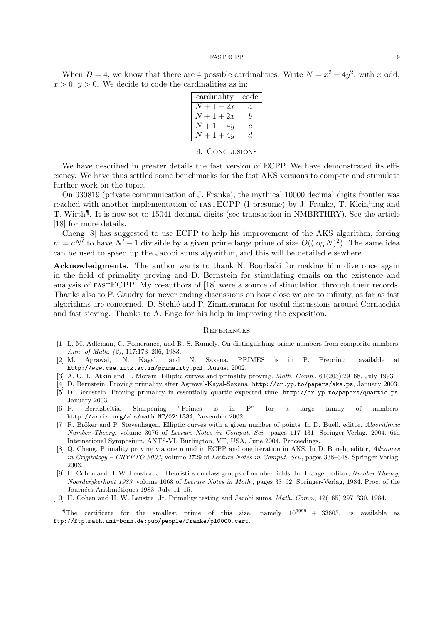When  $D = 4$ , we know that there are 4 possible cardinalities. Write  $N = x^2 + 4y^2$ , with x odd,  $x > 0$ ,  $y > 0$ . We decide to code the cardinalities as in:

| cardinality  | code |  |
|--------------|------|--|
| $N+1-2x$     | a    |  |
| $N+1+2x$     | h    |  |
| $N+1-4y$     | С    |  |
| $N + 1 + 4y$ | d.   |  |

## 9. CONCLUSIONS

We have described in greater details the fast version of ECPP. We have demonstrated its efficiency. We have thus settled some benchmarks for the fast AKS versions to compete and stimulate further work on the topic.

On 030819 (private communication of J. Franke), the mythical 10000 decimal digits frontier was reached with another implementation of fastECPP (I presume) by J. Franke, T. Kleinjung and T. Wirth<sup>¶</sup>. It is now set to 15041 decimal digits (see transaction in NMBRTHRY). See the article [18] for more details.

Cheng [8] has suggested to use ECPP to help his improvement of the AKS algorithm, forcing  $m = cN'$  to have  $N' - 1$  divisible by a given prime large prime of size  $O((\log N)^2)$ . The same idea can be used to speed up the Jacobi sums algorithm, and this will be detailed elsewhere.

Acknowledgments. The author wants to thank N. Bourbaki for making him dive once again in the field of primality proving and D. Bernstein for stimulating emails on the existence and analysis of fastECPP. My co-authors of [18] were a source of stimulation through their records. Thanks also to P. Gaudry for never ending discussions on how close we are to infinity, as far as fast algorithms are concerned. D. Stehl´e and P. Zimmermann for useful discussions around Cornacchia and fast sieving. Thanks to A. Enge for his help in improving the exposition.

### **REFERENCES**

- [1] L. M. Adleman, C. Pomerance, and R. S. Rumely. On distinguishing prime numbers from composite numbers. Ann. of Math. (2), 117:173–206, 1983.
- [2] M. Agrawal, N. Kayal, and N. Saxena. PRIMES is in P. Preprint; available at http://www.cse.iitk.ac.in/primality.pdf, August 2002.
- [3] A. O. L. Atkin and F. Morain. Elliptic curves and primality proving. Math. Comp., 61(203):29–68, July 1993.
- [4] D. Bernstein. Proving primality after Agrawal-Kayal-Saxena. http://cr.yp.to/papers/aks.ps, January 2003.
- [5] D. Bernstein. Proving primality in essentially quartic expected time. http://cr.yp.to/papers/quartic.ps, January 2003.
- [6] P. Berrizbeitia. Sharpening "Primes is in P" for a large family of numbers. http://arxiv.org/abs/math.NT/0211334, November 2002.
- [7] R. Bröker and P. Stevenhagen. Elliptic curves with a given number of points. In D. Buell, editor, Algorithmic Number Theory, volume 3076 of Lecture Notes in Comput. Sci., pages 117–131. Springer-Verlag, 2004. 6th International Symposium, ANTS-VI, Burlington, VT, USA, June 2004, Proceedings.
- [8] Q. Cheng. Primality proving via one round in ECPP and one iteration in AKS. In D. Boneh, editor, Advances in Cryptology – CRYPTO 2003, volume 2729 of Lecture Notes in Comput. Sci., pages 338–348. Springer Verlag, 2003.
- [9] H. Cohen and H. W. Lenstra, Jr. Heuristics on class groups of number fields. In H. Jager, editor, Number Theory, Noordwijkerhout 1983, volume 1068 of Lecture Notes in Math., pages 33–62. Springer-Verlag, 1984. Proc. of the Journées Arithmétiques 1983, July 11-15.
- [10] H. Cohen and H. W. Lenstra, Jr. Primality testing and Jacobi sums. Math. Comp., 42(165):297–330, 1984.

The certificate for the smallest prime of this size, namely  $10^{9999} + 33603$ , is available as ftp://ftp.math.uni-bonn.de:pub/people/franke/p10000.cert.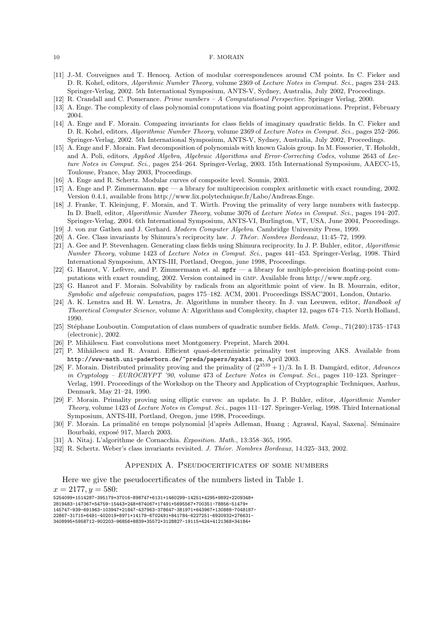#### 10 F. MORAIN

- [11] J.-M. Couveignes and T. Henocq. Action of modular correspondences around CM points. In C. Fieker and D. R. Kohel, editors, Algorihmic Number Theory, volume 2369 of Lecture Notes in Comput. Sci., pages 234–243. Springer-Verlag, 2002. 5th International Symposium, ANTS-V, Sydney, Australia, July 2002, Proceedings.
- [12] R. Crandall and C. Pomerance. Prime numbers A Computational Perspective. Springer Verlag, 2000.
- [13] A. Enge. The complexity of class polynomial computations via floating point approximations. Preprint, February 2004.
- [14] A. Enge and F. Morain. Comparing invariants for class fields of imaginary quadratic fields. In C. Fieker and D. R. Kohel, editors, Algorithmic Number Theory, volume 2369 of Lecture Notes in Comput. Sci., pages 252–266. Springer-Verlag, 2002. 5th International Symposium, ANTS-V, Sydney, Australia, July 2002, Proceedings.
- [15] A. Enge and F. Morain. Fast decomposition of polynomials with known Galois group. In M. Fossorier, T. Høholdt, and A. Poli, editors, Applied Algebra, Algebraic Algorithms and Error-Correcting Codes, volume 2643 of Lecture Notes in Comput. Sci., pages 254–264. Springer-Verlag, 2003. 15th International Symposium, AAECC-15, Toulouse, France, May 2003, Proceedings.
- [16] A. Enge and R. Schertz. Modular curves of composite level. Soumis, 2003.
- [17] A. Enge and P. Zimmermann. mpc a library for multiprecision complex arithmetic with exact rounding, 2002. Version 0.4.1, available from http://www.lix.polytechnique.fr/Labo/Andreas.Enge.
- [18] J. Franke, T. Kleinjung, F. Morain, and T. Wirth. Proving the primality of very large numbers with fastecpp. In D. Buell, editor, Algorithmic Number Theory, volume 3076 of Lecture Notes in Comput. Sci., pages 194–207. Springer-Verlag, 2004. 6th International Symposium, ANTS-VI, Burlington, VT, USA, June 2004, Proceedings.
- [19] J. von zur Gathen and J. Gerhard. Modern Computer Algebra. Cambridge University Press, 1999.
- [20] A. Gee. Class invariants by Shimura's reciprocity law. J. Théor. Nombres Bordeaux, 11:45–72, 1999.
- [21] A. Gee and P. Stevenhagen. Generating class fields using Shimura reciprocity. In J. P. Buhler, editor, Algorithmic Number Theory, volume 1423 of Lecture Notes in Comput. Sci., pages 441–453. Springer-Verlag, 1998. Third International Symposium, ANTS-III, Portland, Oregon, june 1998, Proceedings.
- [22] G. Hanrot, V. Lefèvre, and P. Zimmermann et. al.  $mpr a$  library for multiple-precision floating-point computations with exact rounding, 2002. Version contained in gmp. Available from http://www.mpfr.org.
- [23] G. Hanrot and F. Morain. Solvability by radicals from an algorithmic point of view. In B. Mourrain, editor, Symbolic and algebraic computation, pages 175–182. ACM, 2001. Proceedings ISSAC'2001, London, Ontario.
- [24] A. K. Lenstra and H. W. Lenstra, Jr. Algorithms in number theory. In J. van Leeuwen, editor, Handbook of Theoretical Computer Science, volume A: Algorithms and Complexity, chapter 12, pages 674–715. North Holland, 1990.
- [25] Stéphane Louboutin. Computation of class numbers of quadratic number fields. Math. Comp., 71(240):1735–1743 (electronic), 2002.
- [26] P. Mihăilescu. Fast convolutions meet Montgomery. Preprint, March 2004.
- [27] P. Mihăilescu and R. Avanzi. Efficient quasi-deterministic primality test improving AKS. Available from http://www-math.uni-paderborn.de/~preda/papers/myaks1.ps, April 2003.
- [28] F. Morain. Distributed primality proving and the primality of  $(2^{3539} + 1)/3$ . In I. B. Damgård, editor, Advances in Cryptology – EUROCRYPT '90, volume 473 of Lecture Notes in Comput. Sci., pages 110–123. Springer– Verlag, 1991. Proceedings of the Workshop on the Theory and Application of Cryptographic Techniques, Aarhus, Denmark, May 21–24, 1990.
- [29] F. Morain. Primality proving using elliptic curves: an update. In J. P. Buhler, editor, Algorithmic Number Theory, volume 1423 of Lecture Notes in Comput. Sci., pages 111–127. Springer-Verlag, 1998. Third International Symposium, ANTS-III, Portland, Oregon, june 1998, Proceedings.
- [30] F. Morain. La primalité en temps polynomial [d'après Adleman, Huang ; Agrawal, Kayal, Saxena]. Séminaire Bourbaki, exposé 917, March 2003.
- [31] A. Nitaj. L'algorithme de Cornacchia. Exposition. Math., 13:358–365, 1995.
- [32] R. Schertz. Weber's class invariants revisited. J. Théor. Nombres Bordeaux, 14:325-343, 2002.

## Appendix A. Pseudocertificates of some numbers

Here we give the pseudocertificates of the numbers listed in Table 1.

 $x = 2177, y = 580$ :

5254099+1514287-395179+37016-898747+6131+1460299-14251+4295+9892+2209348+

2819483-147367+54759-15443+248+874067+17491+5695567+700351-78856-51479+

145747-939-691963-103947+21847-437963-378647-381971+643967+130888-7048187-

<sup>22867-31715+6491-402019+8971+14179-6702491+841784-6227251-6920932+276631-</sup>

<sup>3408995+5958712-902203-96856+8839+35572+3128827-19115+424+4121368+34184+</sup>